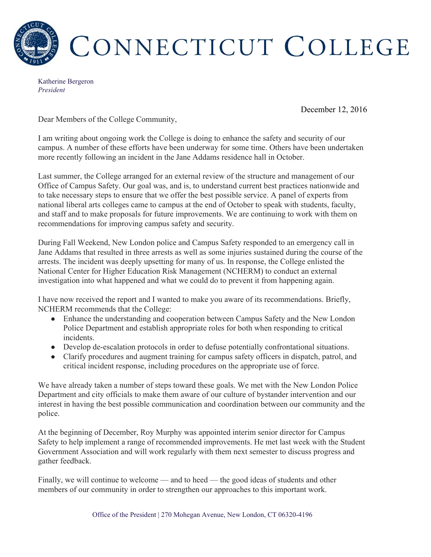

Katherine Bergeron *President*

December 12, 2016

Dear Members of the College Community,

I am writing about ongoing work the College is doing to enhance the safety and security of our campus. A number of these efforts have been underway for some time. Others have been undertaken more recently following an incident in the Jane Addams residence hall in October.

Last summer, the College arranged for an external review of the structure and management of our Office of Campus Safety. Our goal was, and is, to understand current best practices nationwide and to take necessary steps to ensure that we offer the best possible service. A panel of experts from national liberal arts colleges came to campus at the end of October to speak with students, faculty, and staff and to make proposals for future improvements. We are continuing to work with them on recommendations for improving campus safety and security.

During Fall Weekend, New London police and Campus Safety responded to an emergency call in Jane Addams that resulted in three arrests as well as some injuries sustained during the course of the arrests. The incident was deeply upsetting for many of us. In response, the College enlisted the National Center for Higher Education Risk Management (NCHERM) to conduct an external investigation into what happened and what we could do to prevent it from happening again.

I have now received the report and I wanted to make you aware of its recommendations. Briefly, NCHERM recommends that the College:

- Enhance the understanding and cooperation between Campus Safety and the New London Police Department and establish appropriate roles for both when responding to critical incidents.
- Develop de-escalation protocols in order to defuse potentially confrontational situations.
- Clarify procedures and augment training for campus safety officers in dispatch, patrol, and critical incident response, including procedures on the appropriate use of force.

We have already taken a number of steps toward these goals. We met with the New London Police Department and city officials to make them aware of our culture of bystander intervention and our interest in having the best possible communication and coordination between our community and the police.

At the beginning of December, Roy Murphy was appointed interim senior director for Campus Safety to help implement a range of recommended improvements. He met last week with the Student Government Association and will work regularly with them next semester to discuss progress and gather feedback.

Finally, we will continue to welcome — and to heed — the good ideas of students and other members of our community in order to strengthen our approaches to this important work.